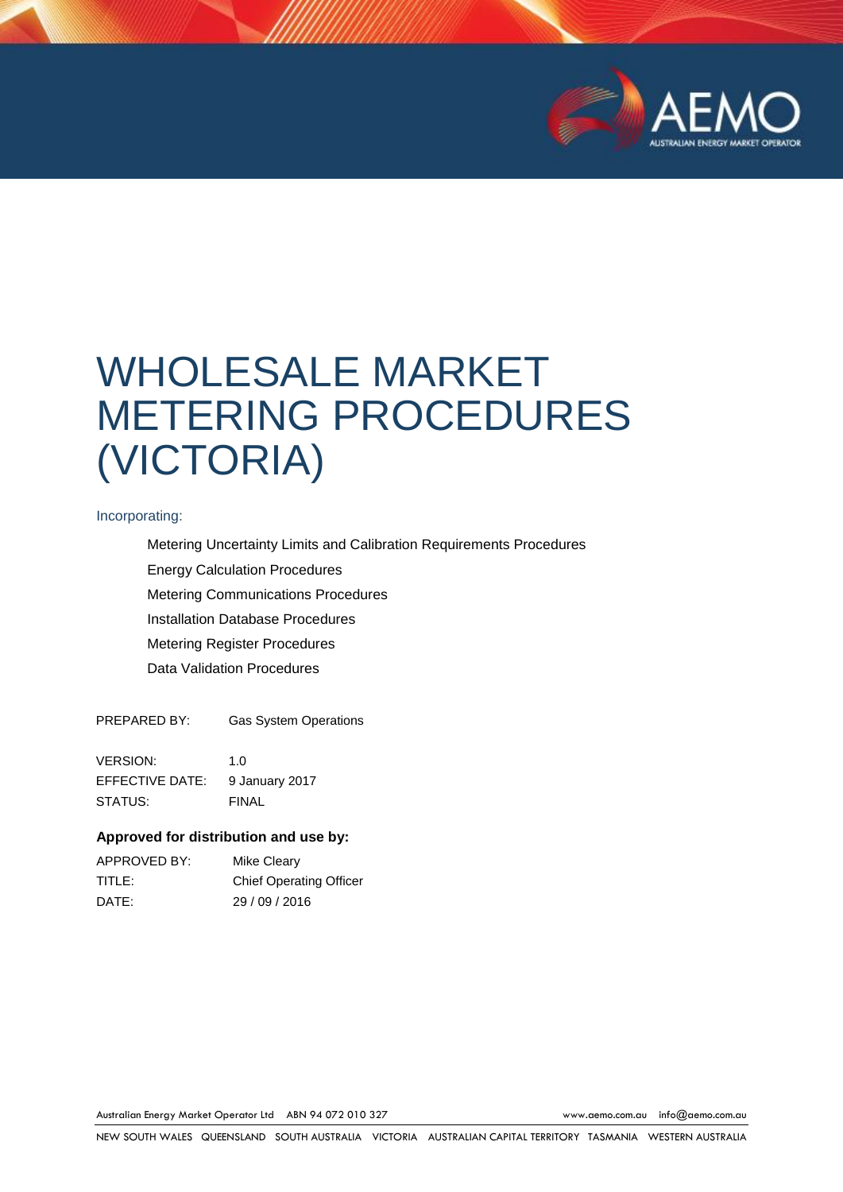

# WHOLESALE MARKET METERING PROCEDURES (VICTORIA)

#### Incorporating:

Metering Uncertainty Limits and Calibration Requirements Procedures Energy Calculation Procedures Metering Communications Procedures Installation Database Procedures Metering Register Procedures Data Validation Procedures

PREPARED BY: Gas System Operations

VERSION: 1.0 EFFECTIVE DATE: 9 January 2017 STATUS: FINAL

#### **Approved for distribution and use by:**

| APPROVED BY: | Mike Cleary                    |
|--------------|--------------------------------|
| TITLE: I     | <b>Chief Operating Officer</b> |
| DATE:        | 29/09/2016                     |

Australian Energy Market Operator Ltd ABN 94 072 010 327 [www.aemo.com.au](http://www.aemo.com.au/) [info@aemo.com.au](mailto:info@aemo.com.au)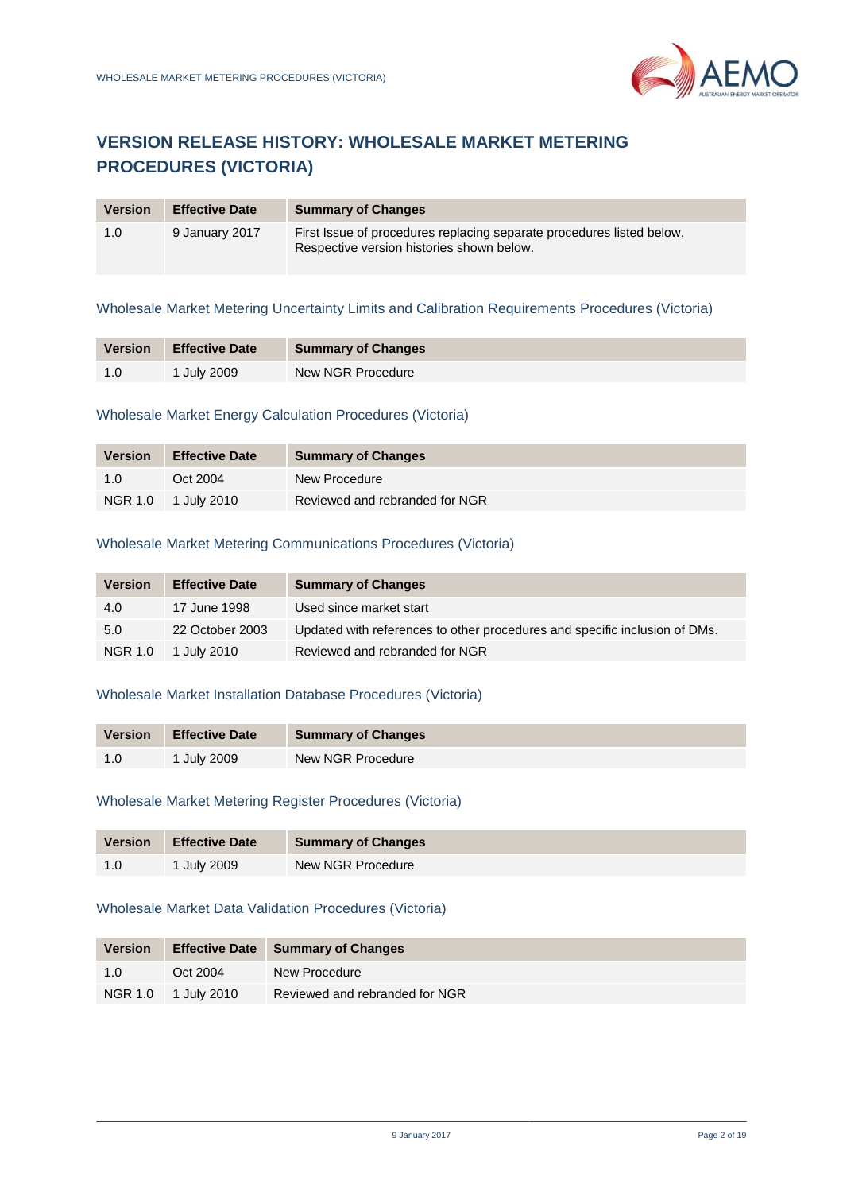# **VERSION RELEASE HISTORY: WHOLESALE MARKET METERING PROCEDURES (VICTORIA)**

| <b>Version</b> | <b>Effective Date</b> | <b>Summary of Changes</b>                                                                                          |
|----------------|-----------------------|--------------------------------------------------------------------------------------------------------------------|
| 1.0            | 9 January 2017        | First Issue of procedures replacing separate procedures listed below.<br>Respective version histories shown below. |

#### Wholesale Market Metering Uncertainty Limits and Calibration Requirements Procedures (Victoria)

| <b>Version</b> | <b>Effective Date</b> | <b>Summary of Changes</b> |
|----------------|-----------------------|---------------------------|
| 1.0            | 1 July 2009           | New NGR Procedure         |

### Wholesale Market Energy Calculation Procedures (Victoria)

| <b>Version</b> | <b>Effective Date</b> | <b>Summary of Changes</b>      |
|----------------|-----------------------|--------------------------------|
| 1.0            | Oct 2004              | New Procedure                  |
| <b>NGR 1.0</b> | 1 July 2010           | Reviewed and rebranded for NGR |

### Wholesale Market Metering Communications Procedures (Victoria)

| <b>Version</b> | <b>Effective Date</b> | <b>Summary of Changes</b>                                                  |
|----------------|-----------------------|----------------------------------------------------------------------------|
| 4.0            | 17 June 1998          | Used since market start                                                    |
| 5.0            | 22 October 2003       | Updated with references to other procedures and specific inclusion of DMs. |
| <b>NGR 1.0</b> | 1 July 2010           | Reviewed and rebranded for NGR                                             |

### Wholesale Market Installation Database Procedures (Victoria)

| <b>Version</b> | <b>Effective Date</b> | <b>Summary of Changes</b> |
|----------------|-----------------------|---------------------------|
| -1.0           | 1 July 2009           | New NGR Procedure         |

#### Wholesale Market Metering Register Procedures (Victoria)

| <b>Version</b> | <b>Effective Date</b> | <b>Summary of Changes</b> |
|----------------|-----------------------|---------------------------|
|                | July 2009             | New NGR Procedure         |

### Wholesale Market Data Validation Procedures (Victoria)

| <b>Version</b> |             | <b>Effective Date Summary of Changes</b> |
|----------------|-------------|------------------------------------------|
| 1.0            | Oct 2004    | New Procedure                            |
| NGR 1.0        | 1 July 2010 | Reviewed and rebranded for NGR           |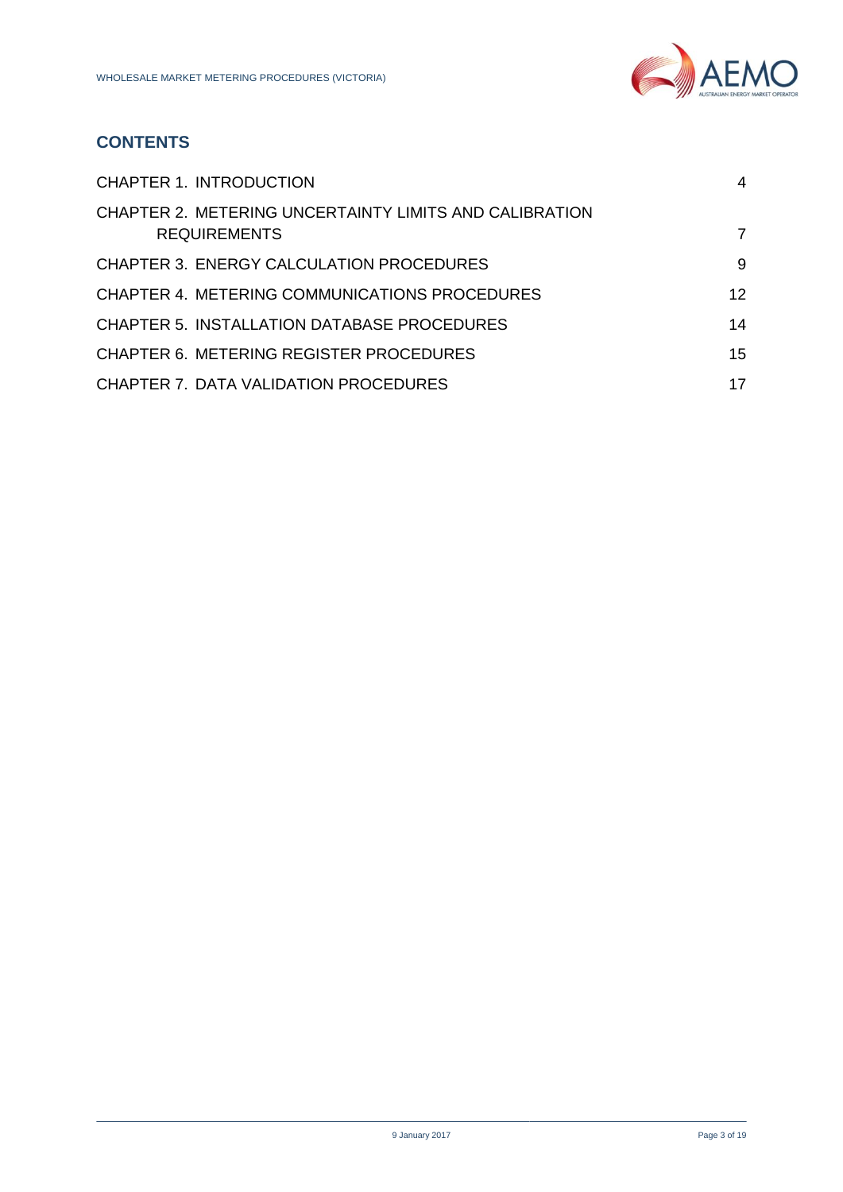

# **CONTENTS**

| <b>CHAPTER 1. INTRODUCTION</b>                                                | 4               |
|-------------------------------------------------------------------------------|-----------------|
| CHAPTER 2. METERING UNCERTAINTY LIMITS AND CALIBRATION<br><b>REQUIREMENTS</b> | 7               |
| <b>CHAPTER 3. ENERGY CALCULATION PROCEDURES</b>                               | 9               |
| CHAPTER 4. METERING COMMUNICATIONS PROCEDURES                                 | 12 <sup>2</sup> |
| CHAPTER 5. INSTALLATION DATABASE PROCEDURES                                   | 14              |
| <b>CHAPTER 6. METERING REGISTER PROCEDURES</b>                                | 15              |
| CHAPTER 7. DATA VALIDATION PROCEDURES                                         | 17              |
|                                                                               |                 |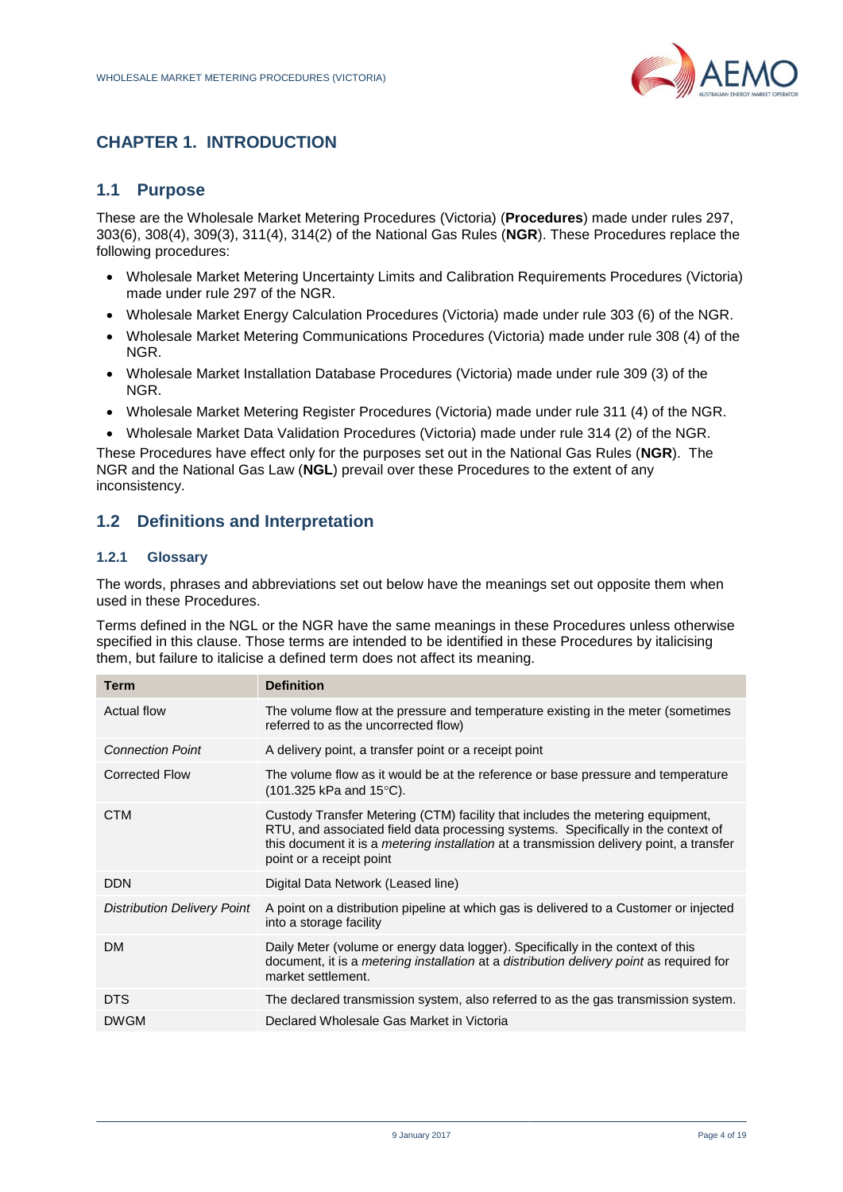

# <span id="page-3-0"></span>**CHAPTER 1. INTRODUCTION**

### **1.1 Purpose**

These are the Wholesale Market Metering Procedures (Victoria) (**Procedures**) made under rules 297, 303(6), 308(4), 309(3), 311(4), 314(2) of the National Gas Rules (**NGR**). These Procedures replace the following procedures:

- Wholesale Market Metering Uncertainty Limits and Calibration Requirements Procedures (Victoria) made under rule 297 of the NGR.
- Wholesale Market Energy Calculation Procedures (Victoria) made under rule 303 (6) of the NGR.
- Wholesale Market Metering Communications Procedures (Victoria) made under rule 308 (4) of the NGR.
- Wholesale Market Installation Database Procedures (Victoria) made under rule 309 (3) of the NGR.
- Wholesale Market Metering Register Procedures (Victoria) made under rule 311 (4) of the NGR.
- Wholesale Market Data Validation Procedures (Victoria) made under rule 314 (2) of the NGR.

These Procedures have effect only for the purposes set out in the National Gas Rules (**NGR**). The NGR and the National Gas Law (**NGL**) prevail over these Procedures to the extent of any inconsistency.

### **1.2 Definitions and Interpretation**

#### **1.2.1 Glossary**

The words, phrases and abbreviations set out below have the meanings set out opposite them when used in these Procedures.

Terms defined in the NGL or the NGR have the same meanings in these Procedures unless otherwise specified in this clause. Those terms are intended to be identified in these Procedures by italicising them, but failure to italicise a defined term does not affect its meaning.

| <b>Term</b>                        | <b>Definition</b>                                                                                                                                                                                                                                                                           |
|------------------------------------|---------------------------------------------------------------------------------------------------------------------------------------------------------------------------------------------------------------------------------------------------------------------------------------------|
| <b>Actual flow</b>                 | The volume flow at the pressure and temperature existing in the meter (sometimes<br>referred to as the uncorrected flow)                                                                                                                                                                    |
| <b>Connection Point</b>            | A delivery point, a transfer point or a receipt point                                                                                                                                                                                                                                       |
| Corrected Flow                     | The volume flow as it would be at the reference or base pressure and temperature<br>$(101.325 \text{ kPa} \text{ and } 15^{\circ}\text{C}).$                                                                                                                                                |
| <b>CTM</b>                         | Custody Transfer Metering (CTM) facility that includes the metering equipment,<br>RTU, and associated field data processing systems. Specifically in the context of<br>this document it is a metering installation at a transmission delivery point, a transfer<br>point or a receipt point |
| <b>DDN</b>                         | Digital Data Network (Leased line)                                                                                                                                                                                                                                                          |
| <b>Distribution Delivery Point</b> | A point on a distribution pipeline at which gas is delivered to a Customer or injected<br>into a storage facility                                                                                                                                                                           |
| <b>DM</b>                          | Daily Meter (volume or energy data logger). Specifically in the context of this<br>document, it is a <i>metering installation</i> at a <i>distribution delivery point</i> as required for<br>market settlement.                                                                             |
| <b>DTS</b>                         | The declared transmission system, also referred to as the gas transmission system.                                                                                                                                                                                                          |
| <b>DWGM</b>                        | Declared Wholesale Gas Market in Victoria                                                                                                                                                                                                                                                   |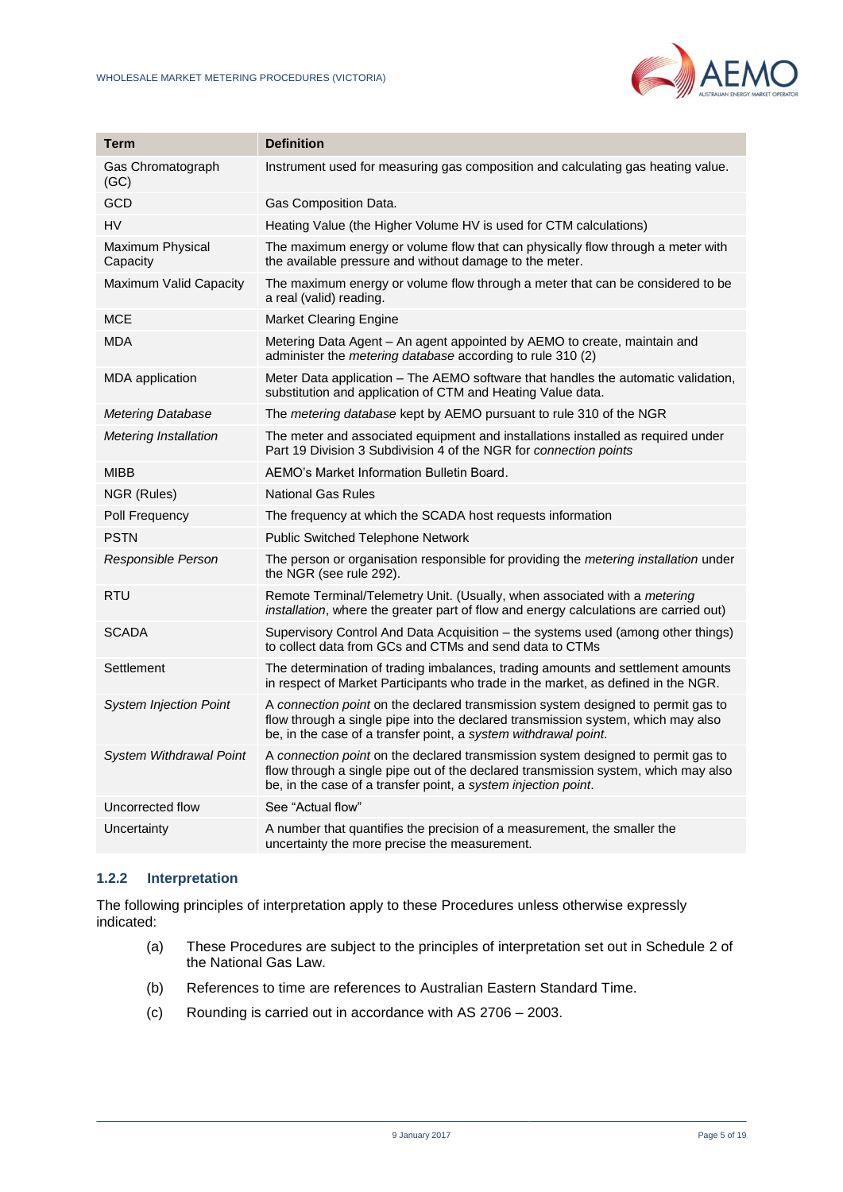

| Term                          | <b>Definition</b>                                                                                                                                                                                                                        |  |
|-------------------------------|------------------------------------------------------------------------------------------------------------------------------------------------------------------------------------------------------------------------------------------|--|
| Gas Chromatograph<br>(GC)     | Instrument used for measuring gas composition and calculating gas heating value.                                                                                                                                                         |  |
| GCD                           | Gas Composition Data.                                                                                                                                                                                                                    |  |
| HV                            | Heating Value (the Higher Volume HV is used for CTM calculations)                                                                                                                                                                        |  |
| Maximum Physical<br>Capacity  | The maximum energy or volume flow that can physically flow through a meter with<br>the available pressure and without damage to the meter.                                                                                               |  |
| Maximum Valid Capacity        | The maximum energy or volume flow through a meter that can be considered to be<br>a real (valid) reading.                                                                                                                                |  |
| <b>MCE</b>                    | <b>Market Clearing Engine</b>                                                                                                                                                                                                            |  |
| <b>MDA</b>                    | Metering Data Agent – An agent appointed by AEMO to create, maintain and<br>administer the <i>metering database</i> according to rule 310 (2)                                                                                            |  |
| <b>MDA</b> application        | Meter Data application - The AEMO software that handles the automatic validation,<br>substitution and application of CTM and Heating Value data.                                                                                         |  |
| <b>Metering Database</b>      | The metering database kept by AEMO pursuant to rule 310 of the NGR                                                                                                                                                                       |  |
| <b>Metering Installation</b>  | The meter and associated equipment and installations installed as required under<br>Part 19 Division 3 Subdivision 4 of the NGR for connection points                                                                                    |  |
| <b>MIBB</b>                   | AEMO's Market Information Bulletin Board.                                                                                                                                                                                                |  |
| NGR (Rules)                   | <b>National Gas Rules</b>                                                                                                                                                                                                                |  |
| Poll Frequency                | The frequency at which the SCADA host requests information                                                                                                                                                                               |  |
| <b>PSTN</b>                   | <b>Public Switched Telephone Network</b>                                                                                                                                                                                                 |  |
| Responsible Person            | The person or organisation responsible for providing the metering installation under<br>the NGR (see rule 292).                                                                                                                          |  |
| <b>RTU</b>                    | Remote Terminal/Telemetry Unit. (Usually, when associated with a metering<br>installation, where the greater part of flow and energy calculations are carried out)                                                                       |  |
| <b>SCADA</b>                  | Supervisory Control And Data Acquisition – the systems used (among other things)<br>to collect data from GCs and CTMs and send data to CTMs                                                                                              |  |
| Settlement                    | The determination of trading imbalances, trading amounts and settlement amounts<br>in respect of Market Participants who trade in the market, as defined in the NGR.                                                                     |  |
| <b>System Injection Point</b> | A connection point on the declared transmission system designed to permit gas to<br>flow through a single pipe into the declared transmission system, which may also<br>be, in the case of a transfer point, a system withdrawal point.  |  |
| System Withdrawal Point       | A connection point on the declared transmission system designed to permit gas to<br>flow through a single pipe out of the declared transmission system, which may also<br>be, in the case of a transfer point, a system injection point. |  |
| Uncorrected flow              | See "Actual flow"                                                                                                                                                                                                                        |  |
| Uncertainty                   | A number that quantifies the precision of a measurement, the smaller the<br>uncertainty the more precise the measurement.                                                                                                                |  |

#### **1.2.2 Interpretation**

The following principles of interpretation apply to these Procedures unless otherwise expressly indicated:

- (a) These Procedures are subject to the principles of interpretation set out in Schedule 2 of the National Gas Law.
- (b) References to time are references to Australian Eastern Standard Time.
- (c) Rounding is carried out in accordance with AS 2706 2003.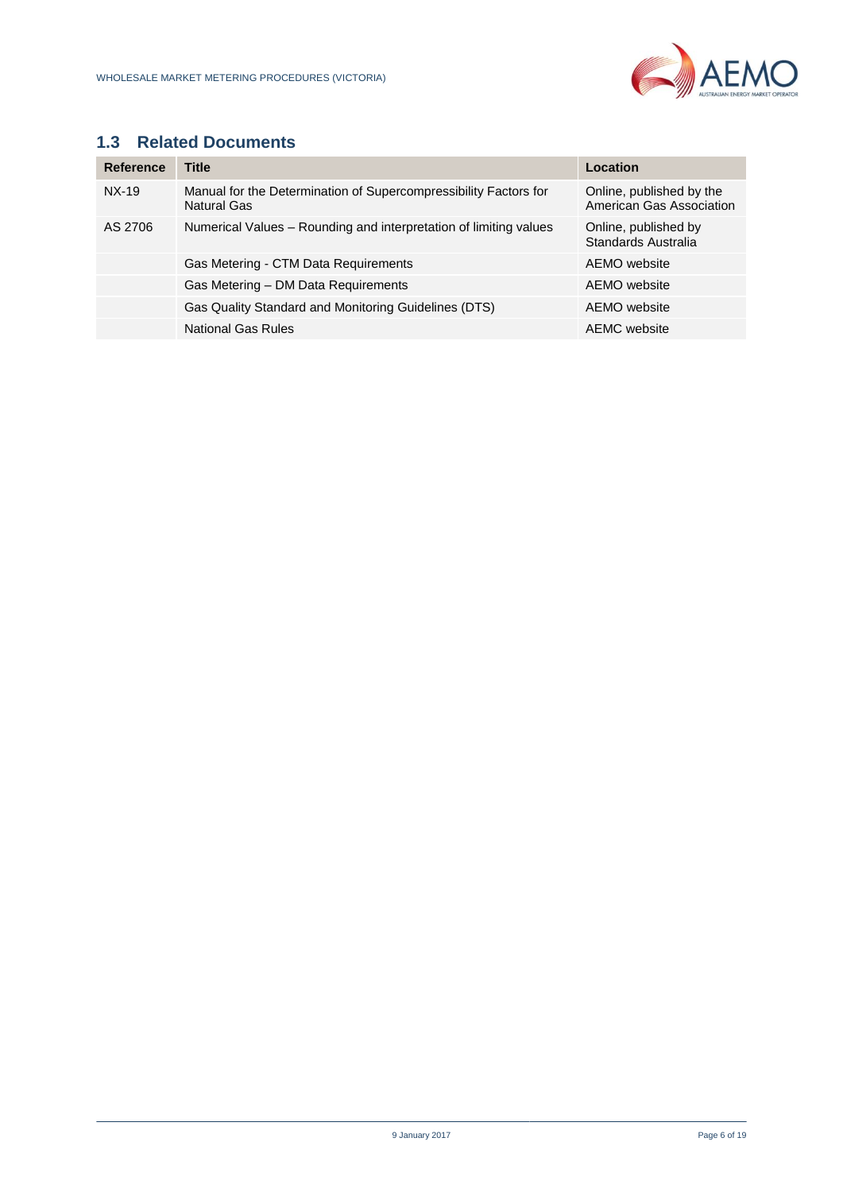

# **1.3 Related Documents**

| Reference | <b>Title</b>                                                                           | Location                                             |
|-----------|----------------------------------------------------------------------------------------|------------------------------------------------------|
| $NX-19$   | Manual for the Determination of Supercompressibility Factors for<br><b>Natural Gas</b> | Online, published by the<br>American Gas Association |
| AS 2706   | Numerical Values – Rounding and interpretation of limiting values                      | Online, published by<br>Standards Australia          |
|           | Gas Metering - CTM Data Requirements                                                   | AEMO website                                         |
|           | Gas Metering - DM Data Requirements                                                    | AEMO website                                         |
|           | Gas Quality Standard and Monitoring Guidelines (DTS)                                   | AEMO website                                         |
|           | <b>National Gas Rules</b>                                                              | AEMC website                                         |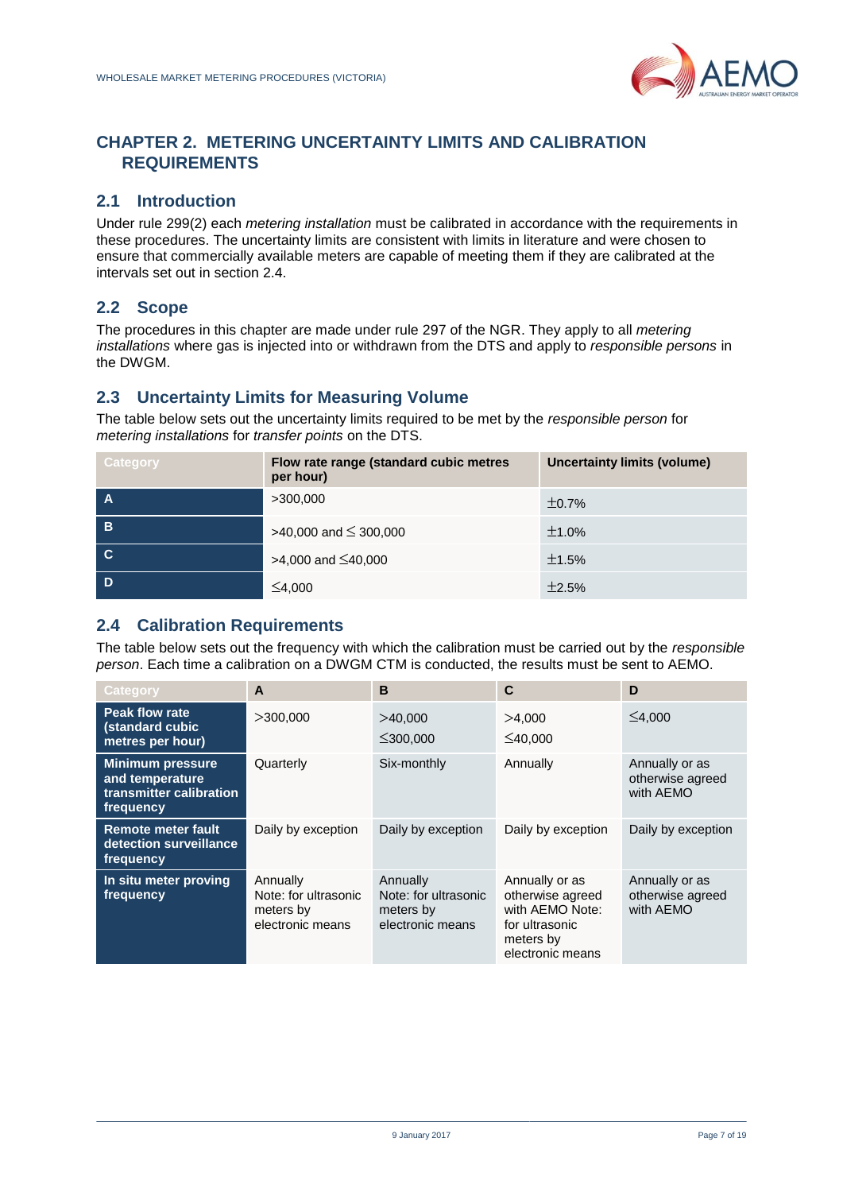

# <span id="page-6-0"></span>**CHAPTER 2. METERING UNCERTAINTY LIMITS AND CALIBRATION REQUIREMENTS**

### **2.1 Introduction**

Under rule 299(2) each *metering installation* must be calibrated in accordance with the requirements in these procedures. The uncertainty limits are consistent with limits in literature and were chosen to ensure that commercially available meters are capable of meeting them if they are calibrated at the intervals set out in section 2.4.

# **2.2 Scope**

The procedures in this chapter are made under rule 297 of the NGR. They apply to all *metering installations* where gas is injected into or withdrawn from the DTS and apply to *responsible persons* in the DWGM.

### **2.3 Uncertainty Limits for Measuring Volume**

The table below sets out the uncertainty limits required to be met by the *responsible person* for *metering installations* for *transfer points* on the DTS.

| Category | Flow rate range (standard cubic metres<br>per hour) | Uncertainty limits (volume) |
|----------|-----------------------------------------------------|-----------------------------|
|          | >300,000                                            | ±0.7%                       |
| B        | >40,000 and $\leq$ 300,000                          | ±1.0%                       |
| <b>C</b> | $>4,000$ and $\leq 40,000$                          | ±1.5%                       |
|          | ≤4,000                                              | ±2.5%                       |

### **2.4 Calibration Requirements**

The table below sets out the frequency with which the calibration must be carried out by the *responsible person*. Each time a calibration on a DWGM CTM is conducted, the results must be sent to AEMO.

| Category                                                                           | A                                                                 | B                                                                 | $\mathbf{C}$                                                                                             | D                                               |
|------------------------------------------------------------------------------------|-------------------------------------------------------------------|-------------------------------------------------------------------|----------------------------------------------------------------------------------------------------------|-------------------------------------------------|
| <b>Peak flow rate</b><br>(standard cubic<br>metres per hour)                       | >300,000                                                          | >40.000<br>$\leq$ 300.000                                         | >4.000<br>$\leq 40.000$                                                                                  | $\leq 4.000$                                    |
| <b>Minimum pressure</b><br>and temperature<br>transmitter calibration<br>frequency | Quarterly                                                         | Six-monthly                                                       | Annually                                                                                                 | Annually or as<br>otherwise agreed<br>with AEMO |
| <b>Remote meter fault</b><br>detection surveillance<br>frequency                   | Daily by exception                                                | Daily by exception                                                | Daily by exception                                                                                       | Daily by exception                              |
| In situ meter proving<br>frequency                                                 | Annually<br>Note: for ultrasonic<br>meters by<br>electronic means | Annually<br>Note: for ultrasonic<br>meters by<br>electronic means | Annually or as<br>otherwise agreed<br>with AEMO Note:<br>for ultrasonic<br>meters by<br>electronic means | Annually or as<br>otherwise agreed<br>with AEMO |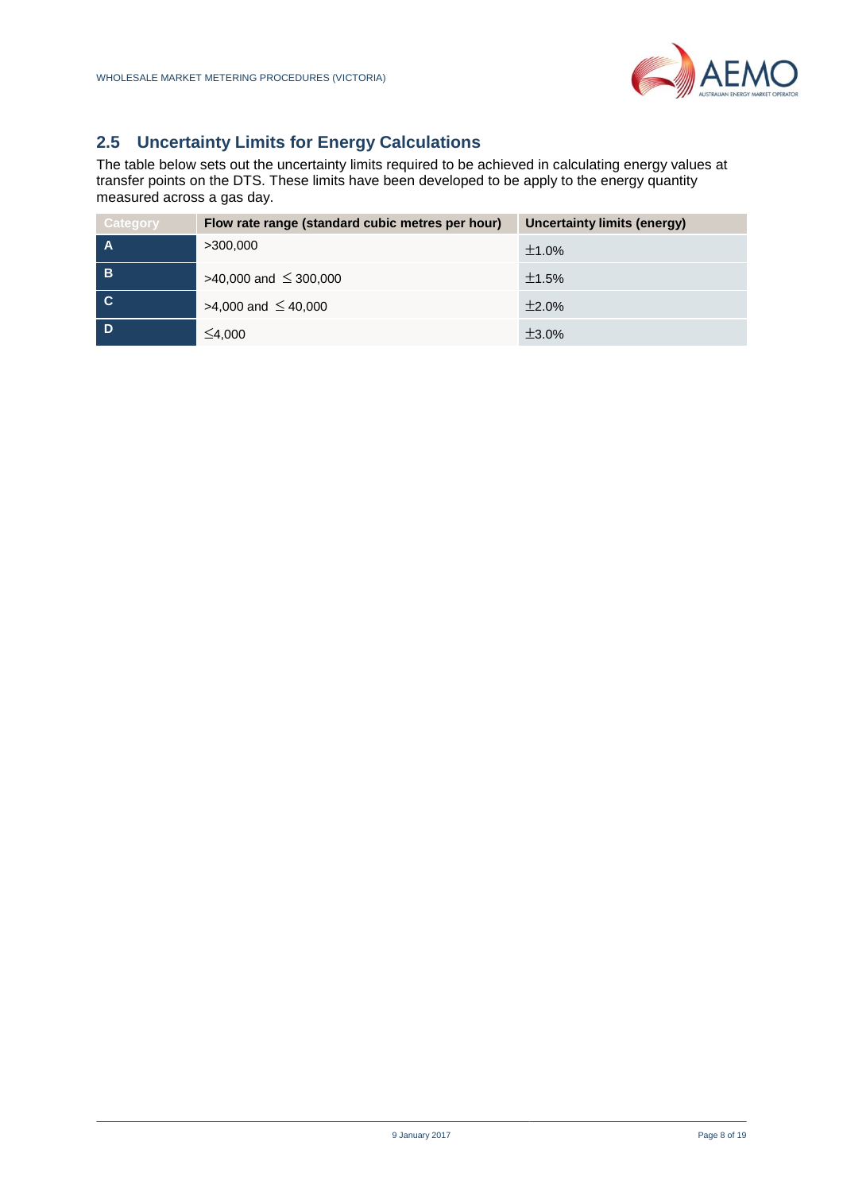

# **2.5 Uncertainty Limits for Energy Calculations**

The table below sets out the uncertainty limits required to be achieved in calculating energy values at transfer points on the DTS. These limits have been developed to be apply to the energy quantity measured across a gas day.

<span id="page-7-0"></span>

| <b>Category</b> | Flow rate range (standard cubic metres per hour) | Uncertainty limits (energy) |
|-----------------|--------------------------------------------------|-----------------------------|
|                 | >300,000                                         | ±1.0%                       |
| B               | $>40,000$ and $\leq 300,000$                     | ±1.5%                       |
| <b>C.</b>       | $>4,000$ and $\leq 40,000$                       | ±2.0%                       |
|                 | ≤4,000                                           | $\pm 3.0\%$                 |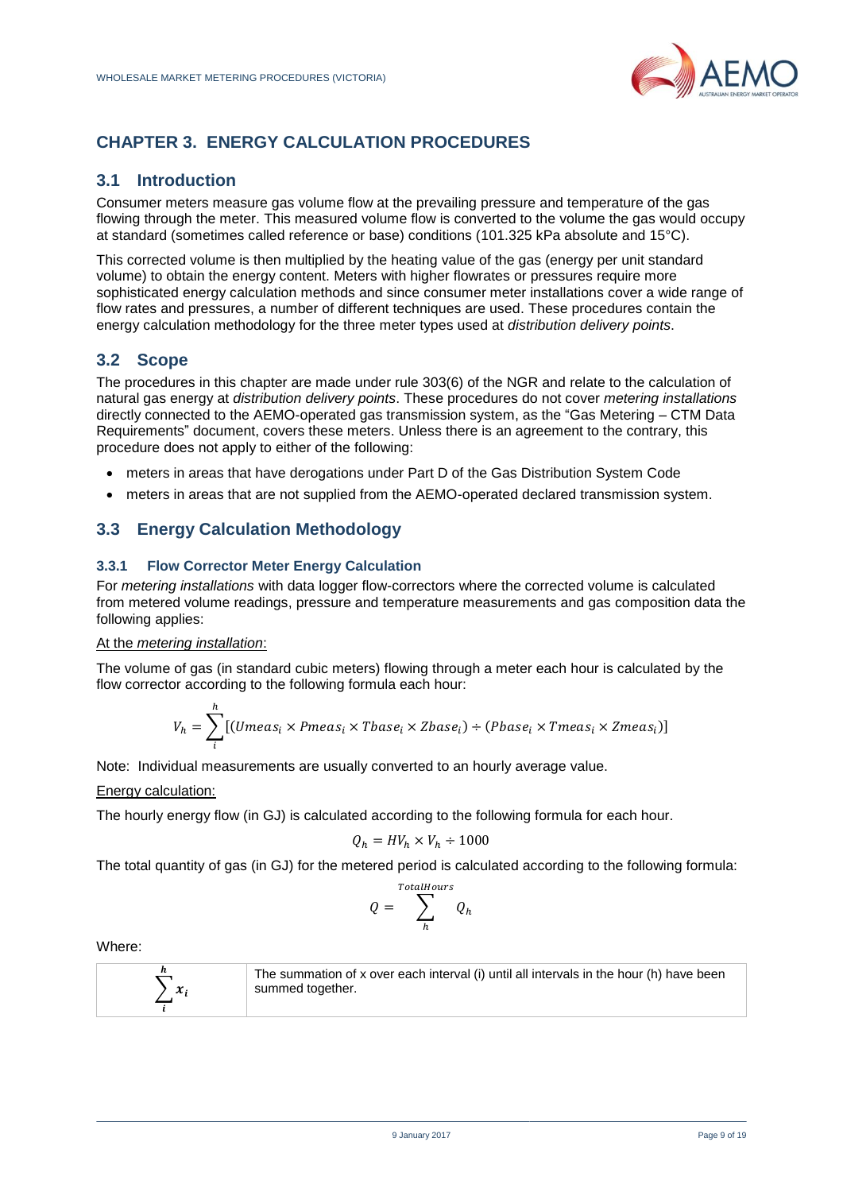

# **CHAPTER 3. ENERGY CALCULATION PROCEDURES**

### **3.1 Introduction**

Consumer meters measure gas volume flow at the prevailing pressure and temperature of the gas flowing through the meter. This measured volume flow is converted to the volume the gas would occupy at standard (sometimes called reference or base) conditions (101.325 kPa absolute and 15°C).

This corrected volume is then multiplied by the heating value of the gas (energy per unit standard volume) to obtain the energy content. Meters with higher flowrates or pressures require more sophisticated energy calculation methods and since consumer meter installations cover a wide range of flow rates and pressures, a number of different techniques are used. These procedures contain the energy calculation methodology for the three meter types used at *distribution delivery points*.

### **3.2 Scope**

The procedures in this chapter are made under rule 303(6) of the NGR and relate to the calculation of natural gas energy at *distribution delivery points*. These procedures do not cover *metering installations* directly connected to the AEMO-operated gas transmission system, as the "Gas Metering – CTM Data Requirements" document, covers these meters. Unless there is an agreement to the contrary, this procedure does not apply to either of the following:

- meters in areas that have derogations under Part D of the Gas Distribution System Code
- meters in areas that are not supplied from the AEMO-operated declared transmission system.

# **3.3 Energy Calculation Methodology**

### **3.3.1 Flow Corrector Meter Energy Calculation**

For *metering installations* with data logger flow-correctors where the corrected volume is calculated from metered volume readings, pressure and temperature measurements and gas composition data the following applies:

#### At the *metering installation*:

The volume of gas (in standard cubic meters) flowing through a meter each hour is calculated by the flow corrector according to the following formula each hour:

$$
V_h = \sum_{i}^{h} [(Umeas_i \times Pmeas_i \times Tbase_i \times Zbase_i) \div (Pbase_i \times Tmeas_i \times Zmeas_i)]
$$

Note: Individual measurements are usually converted to an hourly average value.

#### Energy calculation:

The hourly energy flow (in GJ) is calculated according to the following formula for each hour.

$$
Q_h = HV_h \times V_h \div 1000
$$

The total quantity of gas (in GJ) for the metered period is calculated according to the following formula:

$$
Q = \sum_{h}^{TotalHours} Q_h
$$

Where:



The summation of x over each interval (i) until all intervals in the hour (h) have been summed together.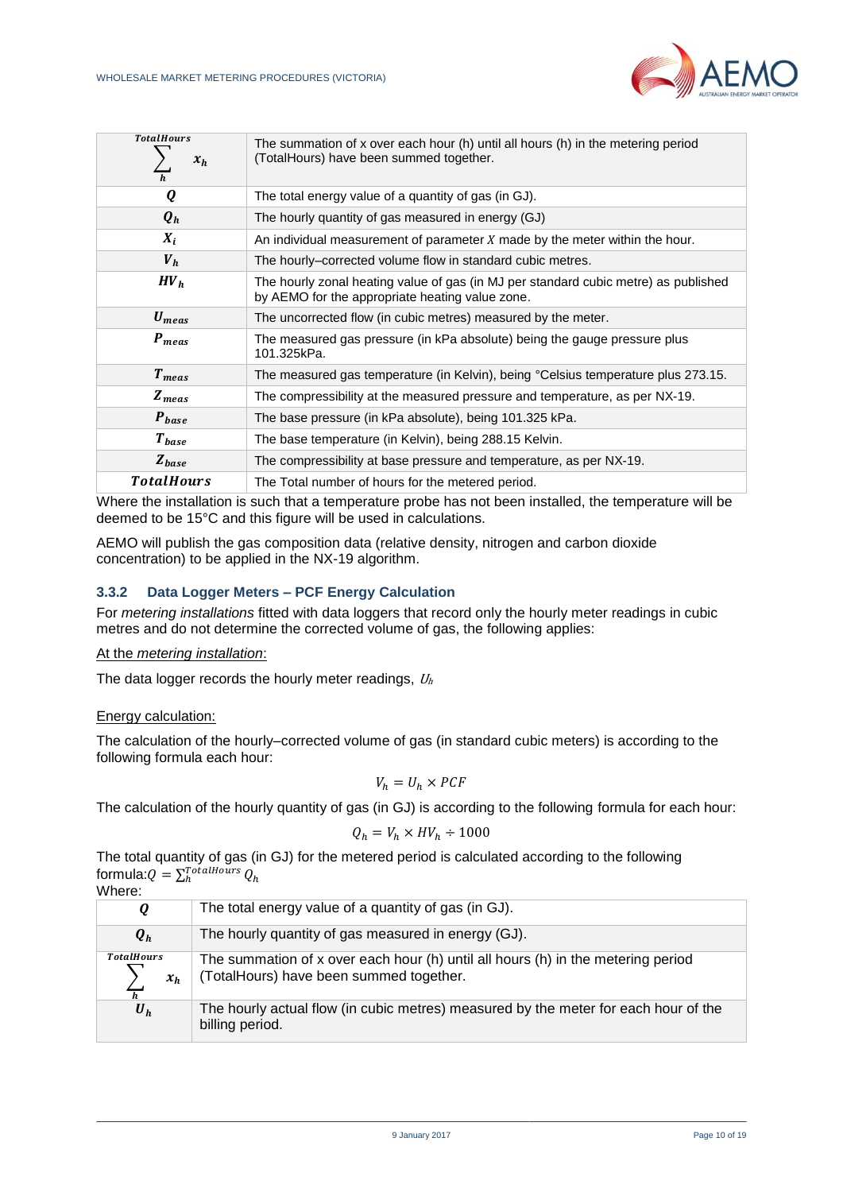

| <b>TotalHours</b><br>$x_h$<br>$\overline{h}$ | The summation of x over each hour (h) until all hours (h) in the metering period<br>(TotalHours) have been summed together.            |
|----------------------------------------------|----------------------------------------------------------------------------------------------------------------------------------------|
| Q                                            | The total energy value of a quantity of gas (in GJ).                                                                                   |
| $\boldsymbol{Q}_h$                           | The hourly quantity of gas measured in energy (GJ)                                                                                     |
| $X_i$                                        | An individual measurement of parameter X made by the meter within the hour.                                                            |
| $V_h$                                        | The hourly–corrected volume flow in standard cubic metres.                                                                             |
| HV <sub>h</sub>                              | The hourly zonal heating value of gas (in MJ per standard cubic metre) as published<br>by AEMO for the appropriate heating value zone. |
| $U_{meas}$                                   | The uncorrected flow (in cubic metres) measured by the meter.                                                                          |
| $P_{meas}$                                   | The measured gas pressure (in kPa absolute) being the gauge pressure plus<br>101.325kPa.                                               |
| $T_{meas}$                                   | The measured gas temperature (in Kelvin), being °Celsius temperature plus 273.15.                                                      |
| $Z_{meas}$                                   | The compressibility at the measured pressure and temperature, as per NX-19.                                                            |
| $P_{base}$                                   | The base pressure (in kPa absolute), being 101.325 kPa.                                                                                |
| $T_{base}$                                   | The base temperature (in Kelvin), being 288.15 Kelvin.                                                                                 |
| $Z_{base}$                                   | The compressibility at base pressure and temperature, as per NX-19.                                                                    |
| <b>TotalHours</b>                            | The Total number of hours for the metered period.                                                                                      |

Where the installation is such that a temperature probe has not been installed, the temperature will be deemed to be 15°C and this figure will be used in calculations.

AEMO will publish the gas composition data (relative density, nitrogen and carbon dioxide concentration) to be applied in the NX-19 algorithm.

#### **3.3.2 Data Logger Meters – PCF Energy Calculation**

For *metering installations* fitted with data loggers that record only the hourly meter readings in cubic metres and do not determine the corrected volume of gas, the following applies:

#### At the *metering installation*:

The data logger records the hourly meter readings,  $U<sub>h</sub>$ 

#### Energy calculation:

The calculation of the hourly–corrected volume of gas (in standard cubic meters) is according to the following formula each hour:

$$
V_h = U_h \times PCF
$$

The calculation of the hourly quantity of gas (in GJ) is according to the following formula for each hour:

$$
Q_h = V_h \times HV_h \div 1000
$$

The total quantity of gas (in GJ) for the metered period is calculated according to the following formula: $Q = \sum_{h}^{Total Hours} Q_h$  $Mh$ oro:

| VIIEE.                                       |                                                                                                                             |
|----------------------------------------------|-----------------------------------------------------------------------------------------------------------------------------|
| Q                                            | The total energy value of a quantity of gas (in GJ).                                                                        |
| $\boldsymbol{Q}_h$                           | The hourly quantity of gas measured in energy (GJ).                                                                         |
| <b>TotalHours</b><br>$x_h$<br>$\overline{h}$ | The summation of x over each hour (h) until all hours (h) in the metering period<br>(TotalHours) have been summed together. |
| $\boldsymbol{U}_h$                           | The hourly actual flow (in cubic metres) measured by the meter for each hour of the<br>billing period.                      |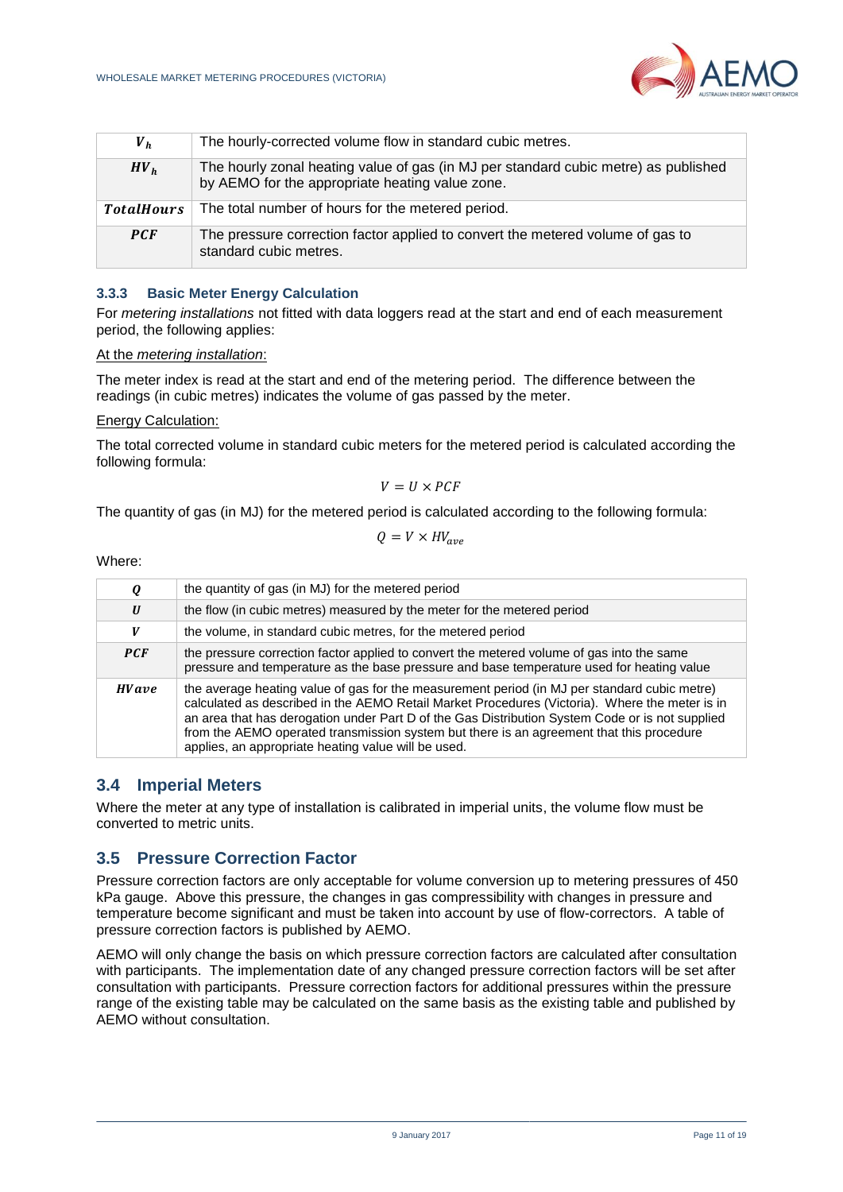

| $V_h$             | The hourly-corrected volume flow in standard cubic metres.                                                                             |
|-------------------|----------------------------------------------------------------------------------------------------------------------------------------|
| HV <sub>h</sub>   | The hourly zonal heating value of gas (in MJ per standard cubic metre) as published<br>by AEMO for the appropriate heating value zone. |
| <b>TotalHours</b> | The total number of hours for the metered period.                                                                                      |
| <b>PCF</b>        | The pressure correction factor applied to convert the metered volume of gas to<br>standard cubic metres.                               |

#### **3.3.3 Basic Meter Energy Calculation**

For *metering installations* not fitted with data loggers read at the start and end of each measurement period, the following applies:

#### At the *metering installation*:

The meter index is read at the start and end of the metering period. The difference between the readings (in cubic metres) indicates the volume of gas passed by the meter.

#### Energy Calculation:

The total corrected volume in standard cubic meters for the metered period is calculated according the following formula:

$$
V = U \times PCF
$$

The quantity of gas (in MJ) for the metered period is calculated according to the following formula:

$$
Q = V \times HV_{ave}
$$

Where:

| Q            | the quantity of gas (in MJ) for the metered period                                                                                                                                                                                                                                                                                                                                                                                                   |
|--------------|------------------------------------------------------------------------------------------------------------------------------------------------------------------------------------------------------------------------------------------------------------------------------------------------------------------------------------------------------------------------------------------------------------------------------------------------------|
| U            | the flow (in cubic metres) measured by the meter for the metered period                                                                                                                                                                                                                                                                                                                                                                              |
| V            | the volume, in standard cubic metres, for the metered period                                                                                                                                                                                                                                                                                                                                                                                         |
| PCF          | the pressure correction factor applied to convert the metered volume of gas into the same<br>pressure and temperature as the base pressure and base temperature used for heating value                                                                                                                                                                                                                                                               |
| <b>HVave</b> | the average heating value of gas for the measurement period (in MJ per standard cubic metre)<br>calculated as described in the AEMO Retail Market Procedures (Victoria). Where the meter is in<br>an area that has derogation under Part D of the Gas Distribution System Code or is not supplied<br>from the AEMO operated transmission system but there is an agreement that this procedure<br>applies, an appropriate heating value will be used. |

### **3.4 Imperial Meters**

Where the meter at any type of installation is calibrated in imperial units, the volume flow must be converted to metric units.

### **3.5 Pressure Correction Factor**

Pressure correction factors are only acceptable for volume conversion up to metering pressures of 450 kPa gauge. Above this pressure, the changes in gas compressibility with changes in pressure and temperature become significant and must be taken into account by use of flow-correctors. A table of pressure correction factors is published by AEMO.

AEMO will only change the basis on which pressure correction factors are calculated after consultation with participants. The implementation date of any changed pressure correction factors will be set after consultation with participants. Pressure correction factors for additional pressures within the pressure range of the existing table may be calculated on the same basis as the existing table and published by AEMO without consultation.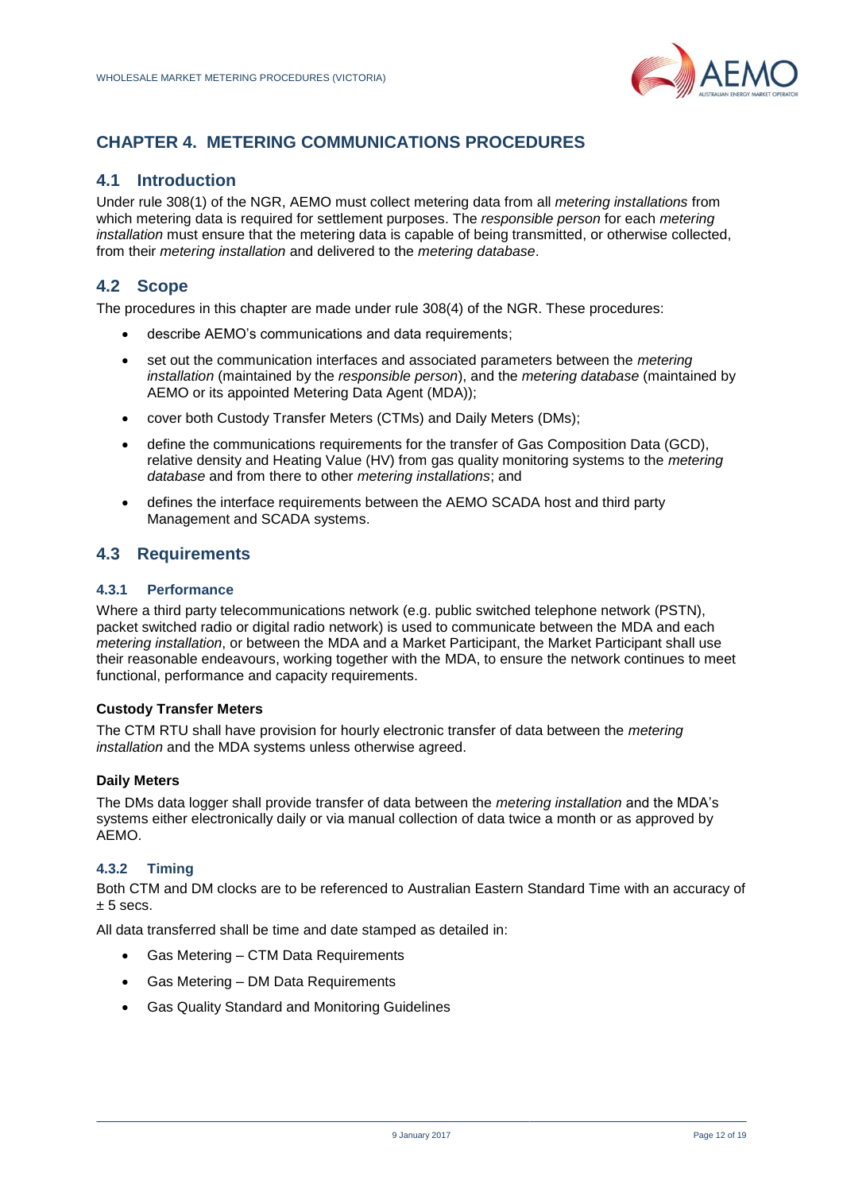

# <span id="page-11-0"></span>**CHAPTER 4. METERING COMMUNICATIONS PROCEDURES**

### **4.1 Introduction**

Under rule 308(1) of the NGR, AEMO must collect metering data from all *metering installations* from which metering data is required for settlement purposes. The *responsible person* for each *metering installation* must ensure that the metering data is capable of being transmitted, or otherwise collected, from their *metering installation* and delivered to the *metering database*.

# **4.2 Scope**

The procedures in this chapter are made under rule 308(4) of the NGR. These procedures:

- describe AEMO's communications and data requirements;
- set out the communication interfaces and associated parameters between the *metering installation* (maintained by the *responsible person*), and the *metering database* (maintained by AEMO or its appointed Metering Data Agent (MDA));
- cover both Custody Transfer Meters (CTMs) and Daily Meters (DMs);
- define the communications requirements for the transfer of Gas Composition Data (GCD), relative density and Heating Value (HV) from gas quality monitoring systems to the *metering database* and from there to other *metering installations*; and
- defines the interface requirements between the AEMO SCADA host and third party Management and SCADA systems.

### **4.3 Requirements**

### **4.3.1 Performance**

Where a third party telecommunications network (e.g. public switched telephone network (PSTN), packet switched radio or digital radio network) is used to communicate between the MDA and each *metering installation*, or between the MDA and a Market Participant, the Market Participant shall use their reasonable endeavours, working together with the MDA, to ensure the network continues to meet functional, performance and capacity requirements.

#### **Custody Transfer Meters**

The CTM RTU shall have provision for hourly electronic transfer of data between the *metering installation* and the MDA systems unless otherwise agreed.

#### **Daily Meters**

The DMs data logger shall provide transfer of data between the *metering installation* and the MDA's systems either electronically daily or via manual collection of data twice a month or as approved by AEMO.

#### **4.3.2 Timing**

Both CTM and DM clocks are to be referenced to Australian Eastern Standard Time with an accuracy of  $± 5$  secs.

All data transferred shall be time and date stamped as detailed in:

- Gas Metering CTM Data Requirements
- Gas Metering DM Data Requirements
- Gas Quality Standard and Monitoring Guidelines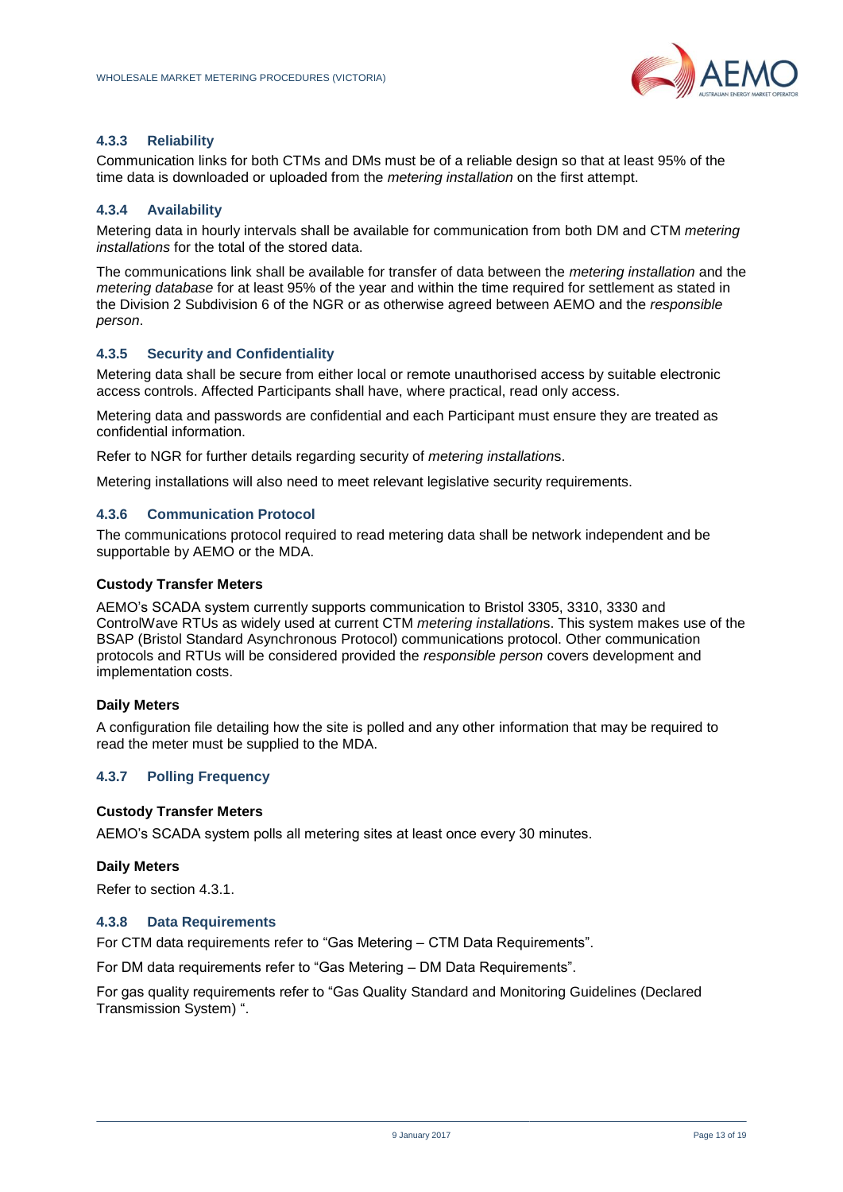

#### **4.3.3 Reliability**

Communication links for both CTMs and DMs must be of a reliable design so that at least 95% of the time data is downloaded or uploaded from the *metering installation* on the first attempt.

#### **4.3.4 Availability**

Metering data in hourly intervals shall be available for communication from both DM and CTM *metering installations* for the total of the stored data.

The communications link shall be available for transfer of data between the *metering installation* and the *metering database* for at least 95% of the year and within the time required for settlement as stated in the Division 2 Subdivision 6 of the NGR or as otherwise agreed between AEMO and the *responsible person*.

#### **4.3.5 Security and Confidentiality**

Metering data shall be secure from either local or remote unauthorised access by suitable electronic access controls. Affected Participants shall have, where practical, read only access.

Metering data and passwords are confidential and each Participant must ensure they are treated as confidential information.

Refer to NGR for further details regarding security of *metering installation*s.

Metering installations will also need to meet relevant legislative security requirements.

#### **4.3.6 Communication Protocol**

The communications protocol required to read metering data shall be network independent and be supportable by AEMO or the MDA.

#### **Custody Transfer Meters**

AEMO's SCADA system currently supports communication to Bristol 3305, 3310, 3330 and ControlWave RTUs as widely used at current CTM *metering installation*s. This system makes use of the BSAP (Bristol Standard Asynchronous Protocol) communications protocol. Other communication protocols and RTUs will be considered provided the *responsible person* covers development and implementation costs.

#### **Daily Meters**

A configuration file detailing how the site is polled and any other information that may be required to read the meter must be supplied to the MDA.

#### **4.3.7 Polling Frequency**

#### **Custody Transfer Meters**

AEMO's SCADA system polls all metering sites at least once every 30 minutes.

#### **Daily Meters**

Refer to section 4.3.1.

#### **4.3.8 Data Requirements**

For CTM data requirements refer to "Gas Metering – CTM Data Requirements".

For DM data requirements refer to "Gas Metering – DM Data Requirements".

For gas quality requirements refer to "Gas Quality Standard and Monitoring Guidelines (Declared Transmission System) ".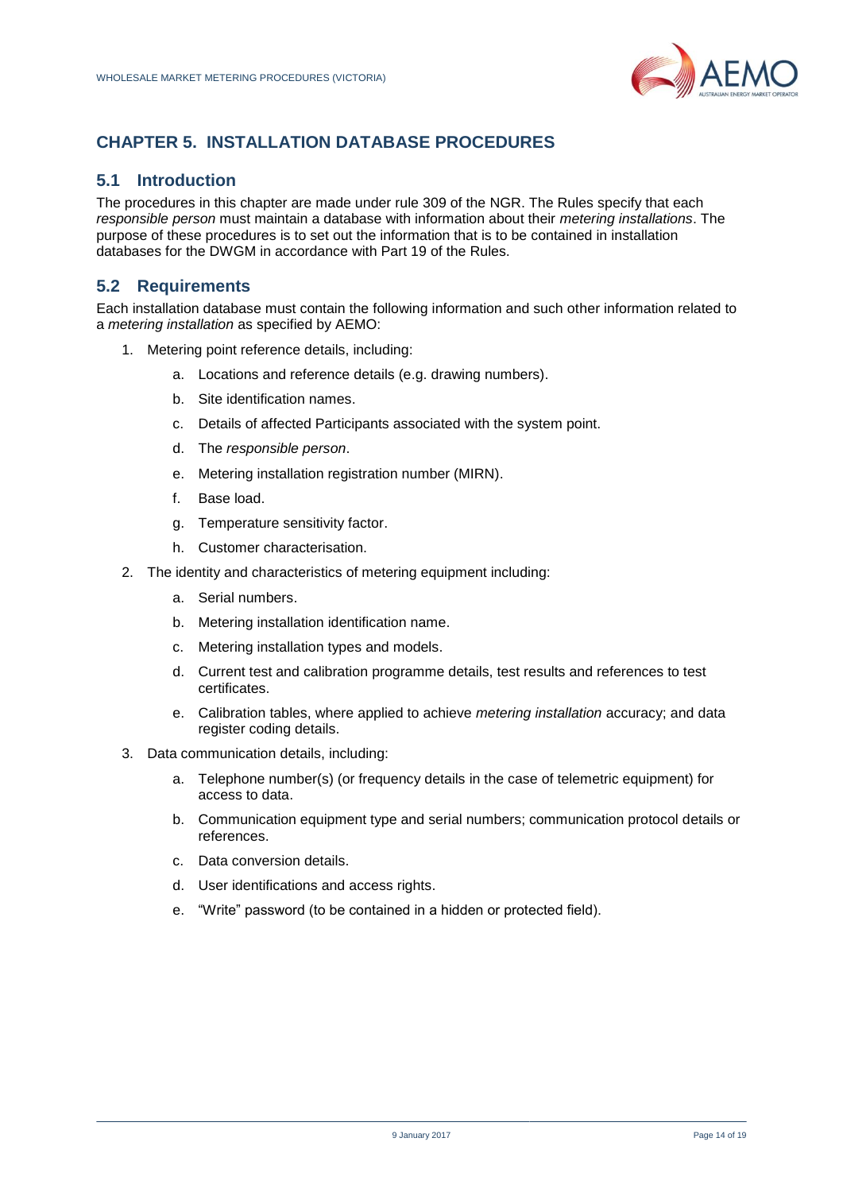

# <span id="page-13-0"></span>**CHAPTER 5. INSTALLATION DATABASE PROCEDURES**

### **5.1 Introduction**

The procedures in this chapter are made under rule 309 of the NGR. The Rules specify that each *responsible person* must maintain a database with information about their *metering installations*. The purpose of these procedures is to set out the information that is to be contained in installation databases for the DWGM in accordance with Part 19 of the Rules.

# **5.2 Requirements**

Each installation database must contain the following information and such other information related to a *metering installation* as specified by AEMO:

- 1. Metering point reference details, including:
	- a. Locations and reference details (e.g. drawing numbers).
	- b. Site identification names.
	- c. Details of affected Participants associated with the system point.
	- d. The *responsible person*.
	- e. Metering installation registration number (MIRN).
	- f. Base load.
	- g. Temperature sensitivity factor.
	- h. Customer characterisation.
- 2. The identity and characteristics of metering equipment including:
	- a. Serial numbers.
	- b. Metering installation identification name.
	- c. Metering installation types and models.
	- d. Current test and calibration programme details, test results and references to test certificates.
	- e. Calibration tables, where applied to achieve *metering installation* accuracy; and data register coding details.
- 3. Data communication details, including:
	- a. Telephone number(s) (or frequency details in the case of telemetric equipment) for access to data.
	- b. Communication equipment type and serial numbers; communication protocol details or references.
	- c. Data conversion details.
	- d. User identifications and access rights.
	- e. "Write" password (to be contained in a hidden or protected field).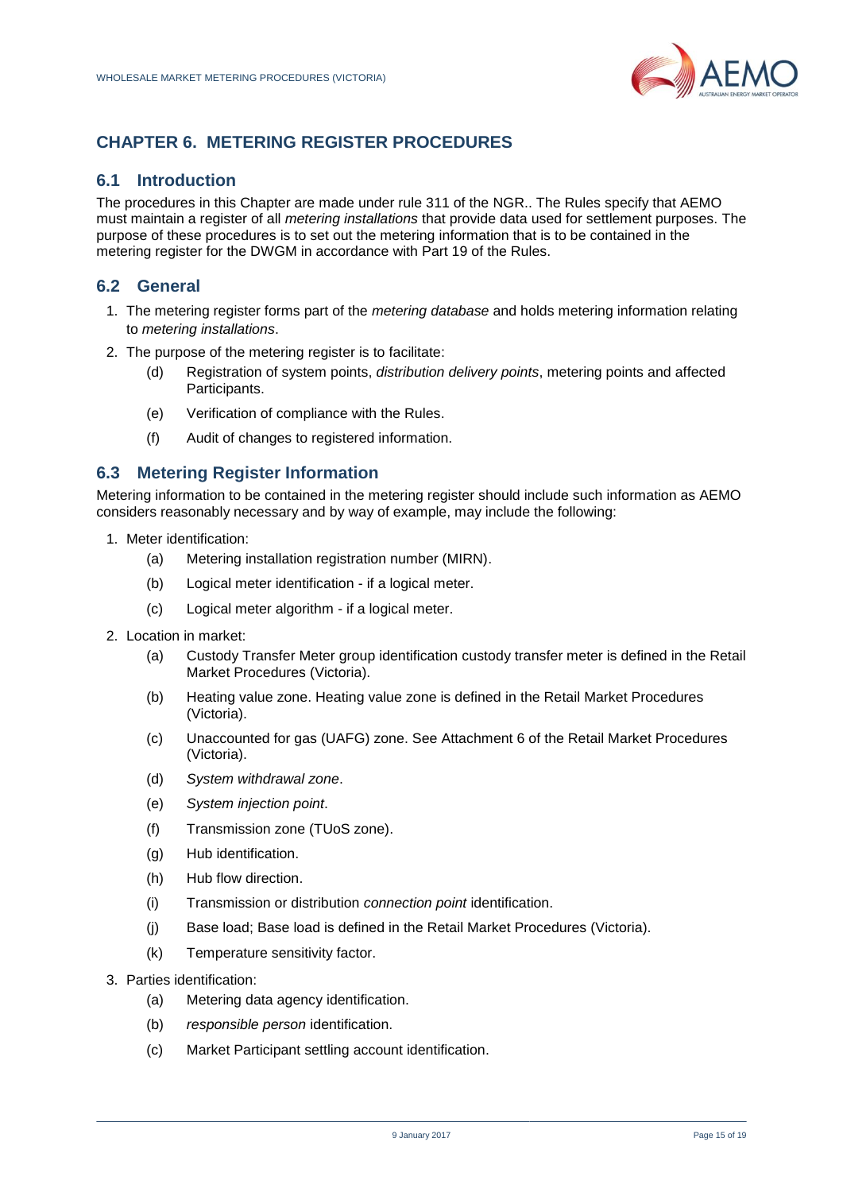

# <span id="page-14-0"></span>**CHAPTER 6. METERING REGISTER PROCEDURES**

### **6.1 Introduction**

The procedures in this Chapter are made under rule 311 of the NGR.. The Rules specify that AEMO must maintain a register of all *metering installations* that provide data used for settlement purposes. The purpose of these procedures is to set out the metering information that is to be contained in the metering register for the DWGM in accordance with Part 19 of the Rules.

# **6.2 General**

- 1. The metering register forms part of the *metering database* and holds metering information relating to *metering installations*.
- 2. The purpose of the metering register is to facilitate:
	- (d) Registration of system points, *distribution delivery points*, metering points and affected Participants.
	- (e) Verification of compliance with the Rules.
	- (f) Audit of changes to registered information.

### **6.3 Metering Register Information**

Metering information to be contained in the metering register should include such information as AEMO considers reasonably necessary and by way of example, may include the following:

- 1. Meter identification:
	- (a) Metering installation registration number (MIRN).
	- (b) Logical meter identification if a logical meter.
	- (c) Logical meter algorithm if a logical meter.
- 2. Location in market:
	- (a) Custody Transfer Meter group identification custody transfer meter is defined in the Retail Market Procedures (Victoria).
	- (b) Heating value zone. Heating value zone is defined in the Retail Market Procedures (Victoria).
	- (c) Unaccounted for gas (UAFG) zone. See Attachment 6 of the Retail Market Procedures (Victoria).
	- (d) *System withdrawal zone*.
	- (e) *System injection point*.
	- (f) Transmission zone (TUoS zone).
	- (g) Hub identification.
	- (h) Hub flow direction.
	- (i) Transmission or distribution *connection point* identification.
	- (j) Base load; Base load is defined in the Retail Market Procedures (Victoria).
	- (k) Temperature sensitivity factor.
- 3. Parties identification:
	- (a) Metering data agency identification.
	- (b) *responsible person* identification.
	- (c) Market Participant settling account identification.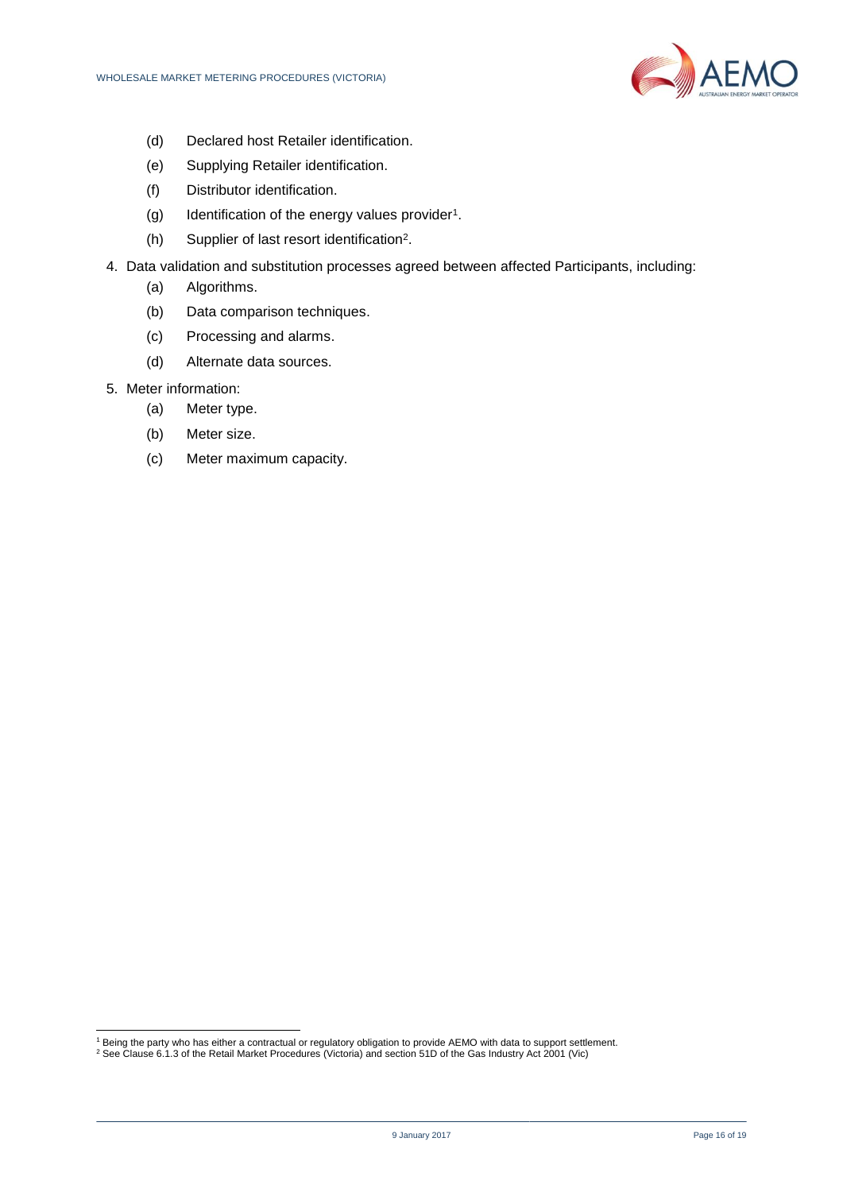

- (d) Declared host Retailer identification.
- (e) Supplying Retailer identification.
- (f) Distributor identification.
- (g) Identification of the energy values provider<sup>1</sup>.
- (h) Supplier of last resort identification<sup>2</sup> .
- 4. Data validation and substitution processes agreed between affected Participants, including:
	- (a) Algorithms.
	- (b) Data comparison techniques.
	- (c) Processing and alarms.
	- (d) Alternate data sources.
- 5. Meter information:

l

- (a) Meter type.
- (b) Meter size.
- (c) Meter maximum capacity.

<sup>&</sup>lt;sup>1</sup> Being the party who has either a contractual or regulatory obligation to provide AEMO with data to support settlement.

<sup>&</sup>lt;sup>2</sup> See Clause 6.1.3 of the Retail Market Procedures (Victoria) and section 51D of the Gas Industry Act 2001 (Vic)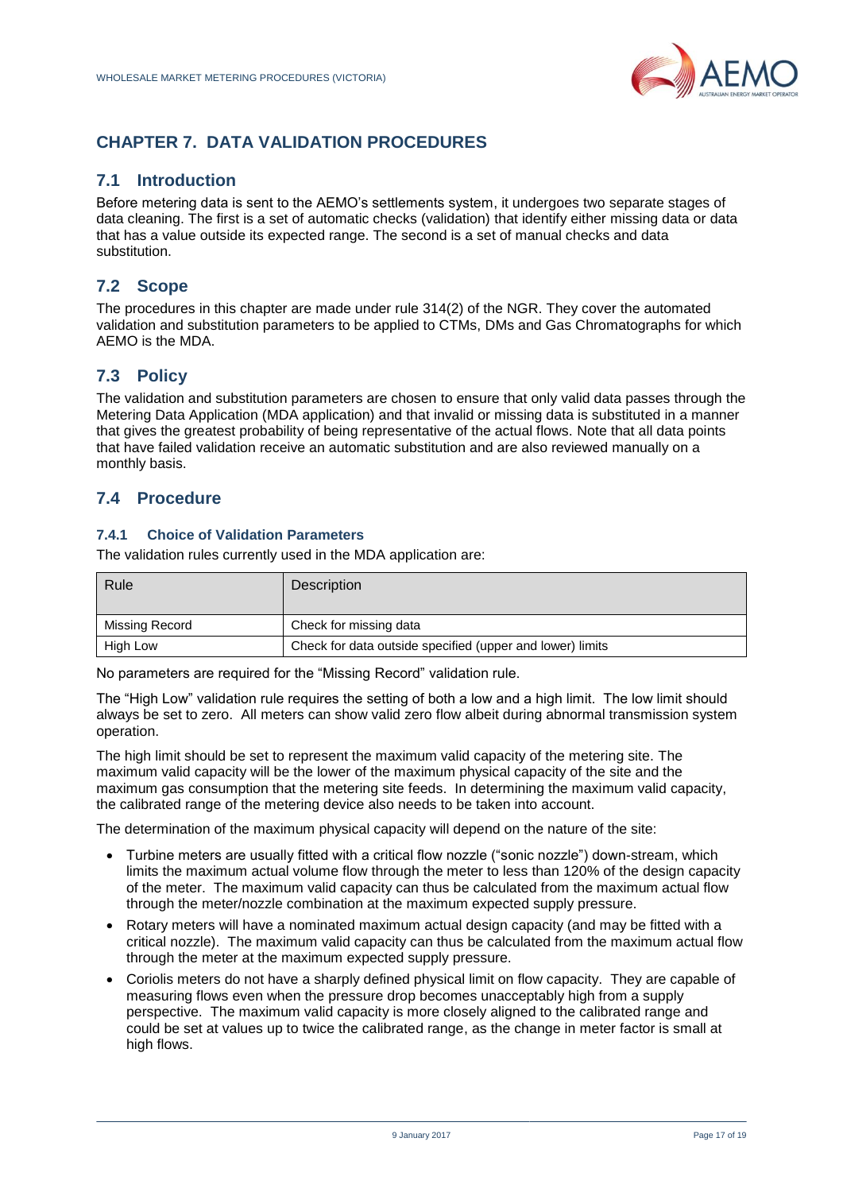

# <span id="page-16-0"></span>**CHAPTER 7. DATA VALIDATION PROCEDURES**

### **7.1 Introduction**

Before metering data is sent to the AEMO's settlements system, it undergoes two separate stages of data cleaning. The first is a set of automatic checks (validation) that identify either missing data or data that has a value outside its expected range. The second is a set of manual checks and data substitution.

# **7.2 Scope**

The procedures in this chapter are made under rule 314(2) of the NGR. They cover the automated validation and substitution parameters to be applied to CTMs, DMs and Gas Chromatographs for which AEMO is the MDA.

# **7.3 Policy**

The validation and substitution parameters are chosen to ensure that only valid data passes through the Metering Data Application (MDA application) and that invalid or missing data is substituted in a manner that gives the greatest probability of being representative of the actual flows. Note that all data points that have failed validation receive an automatic substitution and are also reviewed manually on a monthly basis.

### **7.4 Procedure**

### **7.4.1 Choice of Validation Parameters**

The validation rules currently used in the MDA application are:

| Rule           | <b>Description</b>                                        |
|----------------|-----------------------------------------------------------|
| Missing Record | Check for missing data                                    |
| High Low       | Check for data outside specified (upper and lower) limits |

No parameters are required for the "Missing Record" validation rule.

The "High Low" validation rule requires the setting of both a low and a high limit. The low limit should always be set to zero. All meters can show valid zero flow albeit during abnormal transmission system operation.

The high limit should be set to represent the maximum valid capacity of the metering site. The maximum valid capacity will be the lower of the maximum physical capacity of the site and the maximum gas consumption that the metering site feeds. In determining the maximum valid capacity, the calibrated range of the metering device also needs to be taken into account.

The determination of the maximum physical capacity will depend on the nature of the site:

- Turbine meters are usually fitted with a critical flow nozzle ("sonic nozzle") down-stream, which limits the maximum actual volume flow through the meter to less than 120% of the design capacity of the meter. The maximum valid capacity can thus be calculated from the maximum actual flow through the meter/nozzle combination at the maximum expected supply pressure.
- Rotary meters will have a nominated maximum actual design capacity (and may be fitted with a critical nozzle). The maximum valid capacity can thus be calculated from the maximum actual flow through the meter at the maximum expected supply pressure.
- Coriolis meters do not have a sharply defined physical limit on flow capacity. They are capable of measuring flows even when the pressure drop becomes unacceptably high from a supply perspective. The maximum valid capacity is more closely aligned to the calibrated range and could be set at values up to twice the calibrated range, as the change in meter factor is small at high flows.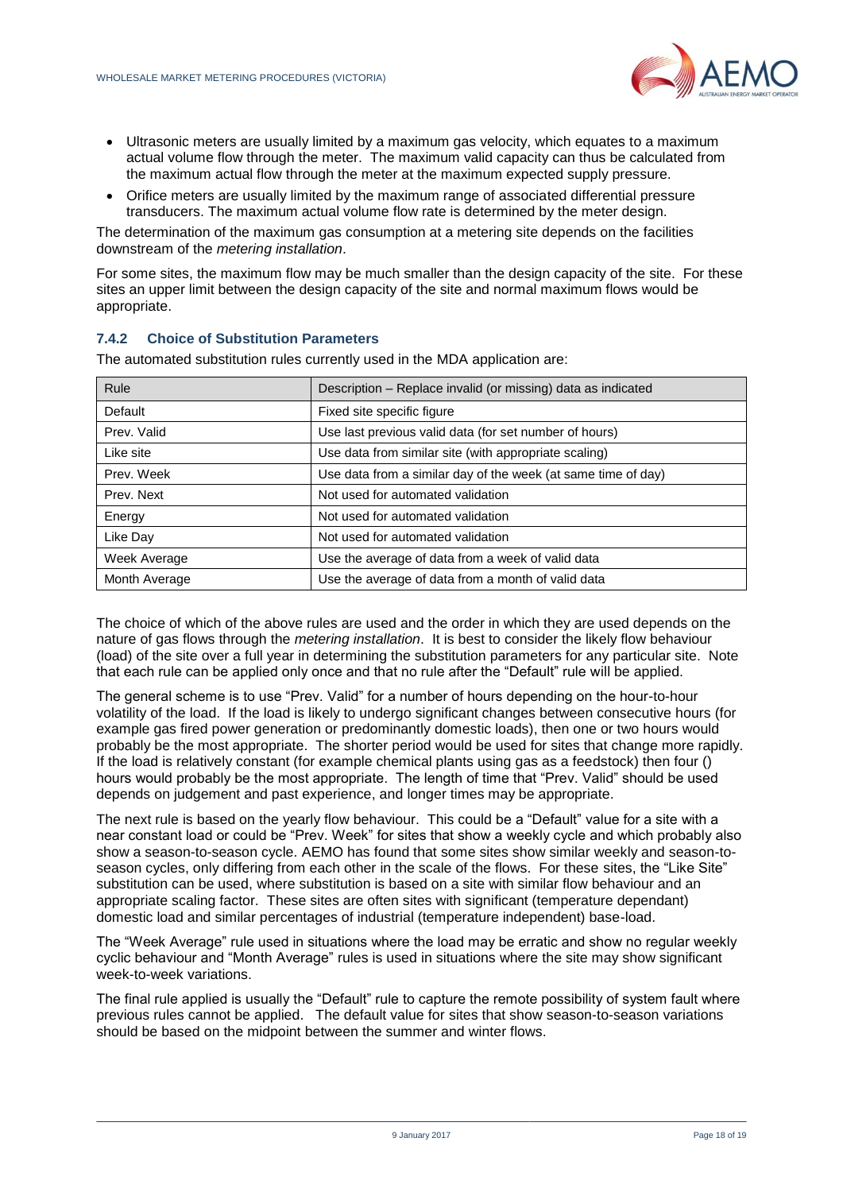

- Ultrasonic meters are usually limited by a maximum gas velocity, which equates to a maximum actual volume flow through the meter. The maximum valid capacity can thus be calculated from the maximum actual flow through the meter at the maximum expected supply pressure.
- Orifice meters are usually limited by the maximum range of associated differential pressure transducers. The maximum actual volume flow rate is determined by the meter design.

The determination of the maximum gas consumption at a metering site depends on the facilities downstream of the *metering installation*.

For some sites, the maximum flow may be much smaller than the design capacity of the site. For these sites an upper limit between the design capacity of the site and normal maximum flows would be appropriate.

#### **7.4.2 Choice of Substitution Parameters**

The automated substitution rules currently used in the MDA application are:

| Rule          | Description – Replace invalid (or missing) data as indicated  |
|---------------|---------------------------------------------------------------|
| Default       | Fixed site specific figure                                    |
| Prev. Valid   | Use last previous valid data (for set number of hours)        |
| Like site     | Use data from similar site (with appropriate scaling)         |
| Prev. Week    | Use data from a similar day of the week (at same time of day) |
| Prev. Next    | Not used for automated validation                             |
| Energy        | Not used for automated validation                             |
| Like Day      | Not used for automated validation                             |
| Week Average  | Use the average of data from a week of valid data             |
| Month Average | Use the average of data from a month of valid data            |

The choice of which of the above rules are used and the order in which they are used depends on the nature of gas flows through the *metering installation*. It is best to consider the likely flow behaviour (load) of the site over a full year in determining the substitution parameters for any particular site. Note that each rule can be applied only once and that no rule after the "Default" rule will be applied.

The general scheme is to use "Prev. Valid" for a number of hours depending on the hour-to-hour volatility of the load. If the load is likely to undergo significant changes between consecutive hours (for example gas fired power generation or predominantly domestic loads), then one or two hours would probably be the most appropriate. The shorter period would be used for sites that change more rapidly. If the load is relatively constant (for example chemical plants using gas as a feedstock) then four () hours would probably be the most appropriate. The length of time that "Prev. Valid" should be used depends on judgement and past experience, and longer times may be appropriate.

The next rule is based on the yearly flow behaviour. This could be a "Default" value for a site with a near constant load or could be "Prev. Week" for sites that show a weekly cycle and which probably also show a season-to-season cycle. AEMO has found that some sites show similar weekly and season-toseason cycles, only differing from each other in the scale of the flows. For these sites, the "Like Site" substitution can be used, where substitution is based on a site with similar flow behaviour and an appropriate scaling factor. These sites are often sites with significant (temperature dependant) domestic load and similar percentages of industrial (temperature independent) base-load.

The "Week Average" rule used in situations where the load may be erratic and show no regular weekly cyclic behaviour and "Month Average" rules is used in situations where the site may show significant week-to-week variations.

The final rule applied is usually the "Default" rule to capture the remote possibility of system fault where previous rules cannot be applied. The default value for sites that show season-to-season variations should be based on the midpoint between the summer and winter flows.